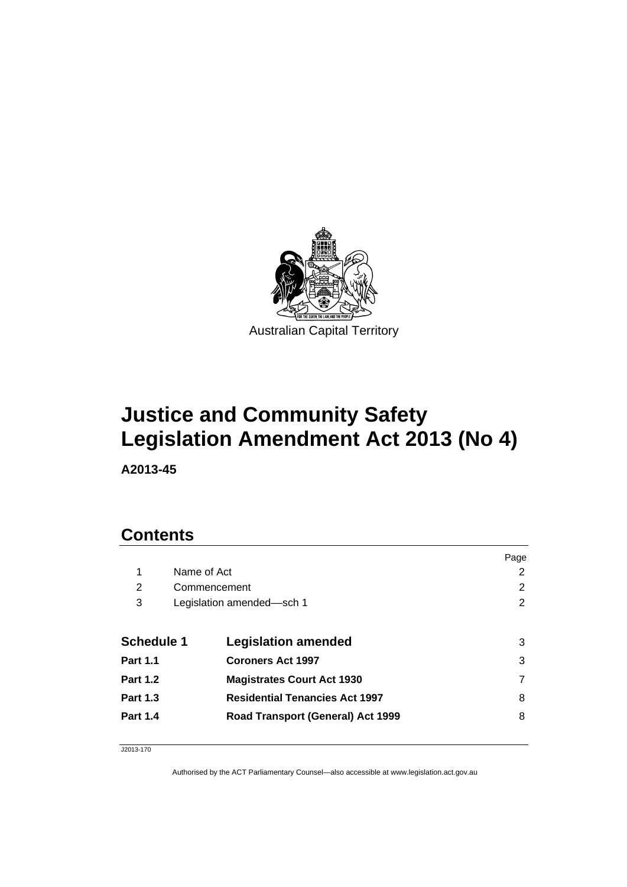

# **Justice and Community Safety Legislation Amendment Act 2013 (No 4)**

**A2013-45** 

# **Contents**

|                   |              |                                       | Page |
|-------------------|--------------|---------------------------------------|------|
| 1                 | Name of Act  |                                       | 2    |
| 2                 | Commencement |                                       | 2    |
| 3                 |              | Legislation amended-sch 1             | 2    |
|                   |              |                                       |      |
| <b>Schedule 1</b> |              | <b>Legislation amended</b>            | 3    |
| <b>Part 1.1</b>   |              | <b>Coroners Act 1997</b>              | 3    |
| <b>Part 1.2</b>   |              | <b>Magistrates Court Act 1930</b>     |      |
| <b>Part 1.3</b>   |              | <b>Residential Tenancies Act 1997</b> | 8    |
| <b>Part 1.4</b>   |              | Road Transport (General) Act 1999     | 8    |
|                   |              |                                       |      |

J2013-170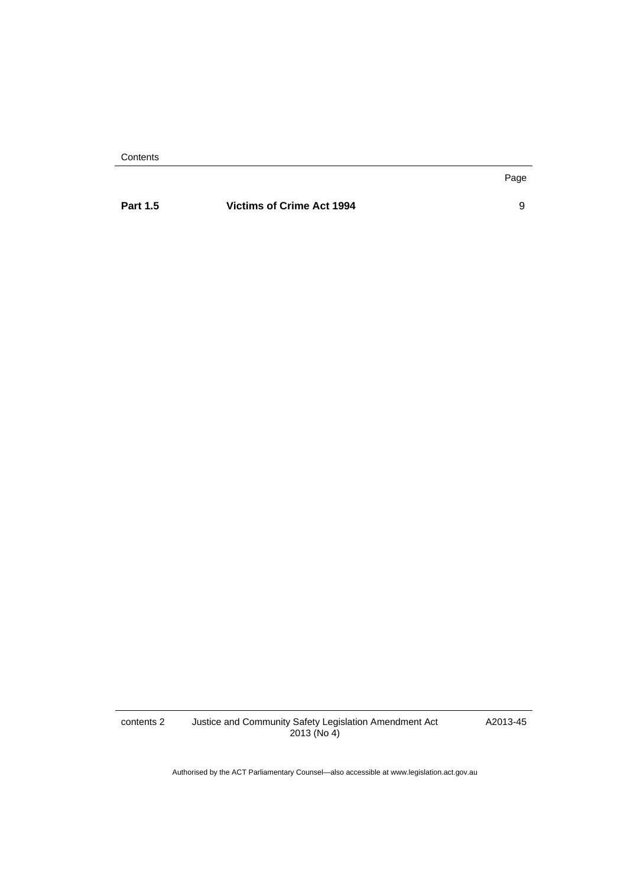**Contents** 

### **Part 1.5 Victims of Crime Act 1994 9**

Page

contents 2 Justice and Community Safety Legislation Amendment Act 2013 (No 4)

A2013-45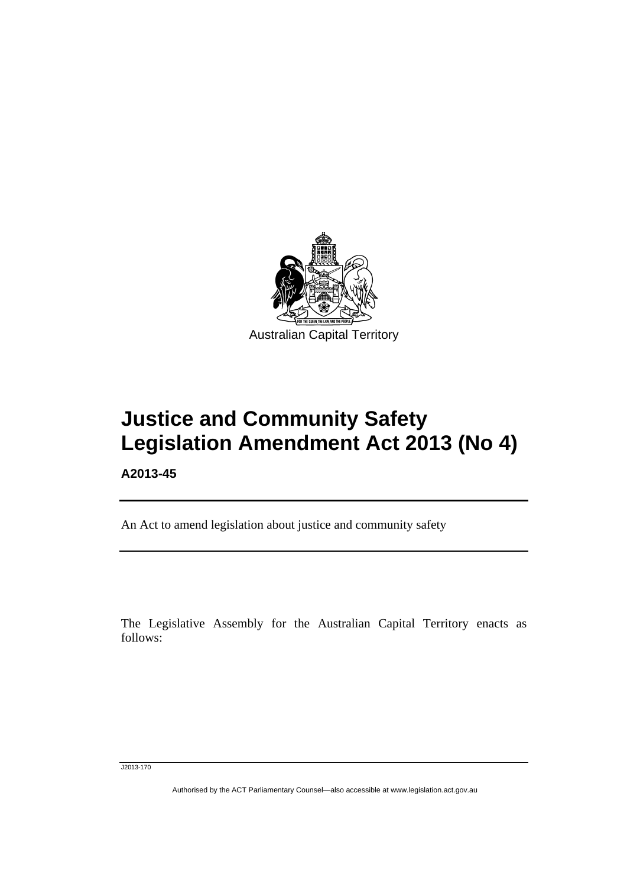

# **Justice and Community Safety Legislation Amendment Act 2013 (No 4)**

**A2013-45** 

l

An Act to amend legislation about justice and community safety

The Legislative Assembly for the Australian Capital Territory enacts as follows:

J2013-170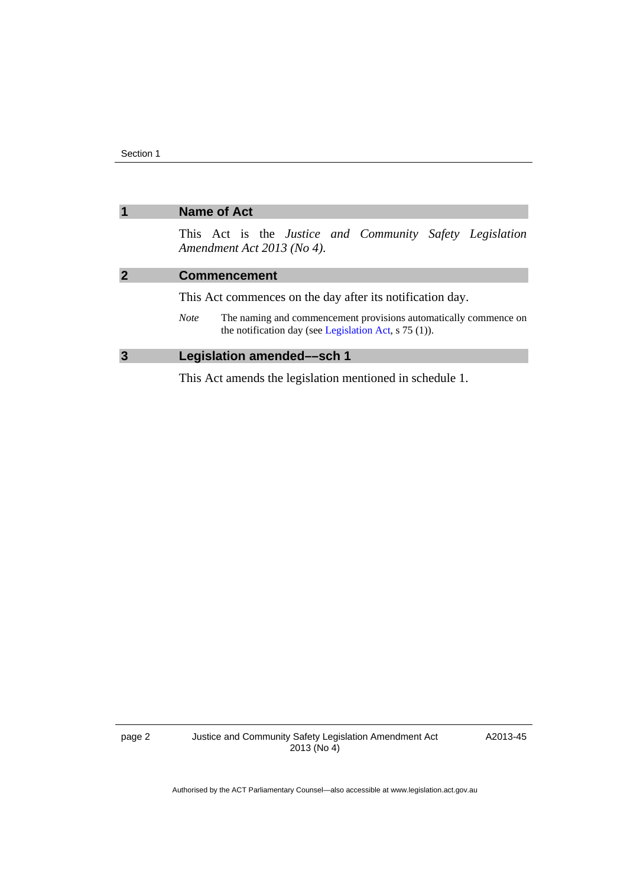<span id="page-3-1"></span><span id="page-3-0"></span>

|                | <b>Name of Act</b>                                                                                                                                                                                                                  |  |  |
|----------------|-------------------------------------------------------------------------------------------------------------------------------------------------------------------------------------------------------------------------------------|--|--|
|                | This Act is the <i>Justice and Community Safety Legislation</i><br>Amendment Act 2013 (No 4).                                                                                                                                       |  |  |
| $\overline{2}$ | <b>Commencement</b>                                                                                                                                                                                                                 |  |  |
|                | This Act commences on the day after its notification day.                                                                                                                                                                           |  |  |
|                | The naming and commencement provisions automatically commence on<br><i>Note</i><br>the notification day (see Legislation Act, $\frac{5}{75}$ (1)).                                                                                  |  |  |
| $\overline{3}$ | <b>Legislation amended-sch 1</b>                                                                                                                                                                                                    |  |  |
|                | $\overline{A}$ . The contraction of the contract of the contract of the contraction of the contract of $A$ . The contract of the contract of the contract of the contract of the contract of the contract of the contract of the co |  |  |

<span id="page-3-2"></span>This Act amends the legislation mentioned in schedule 1.

A2013-45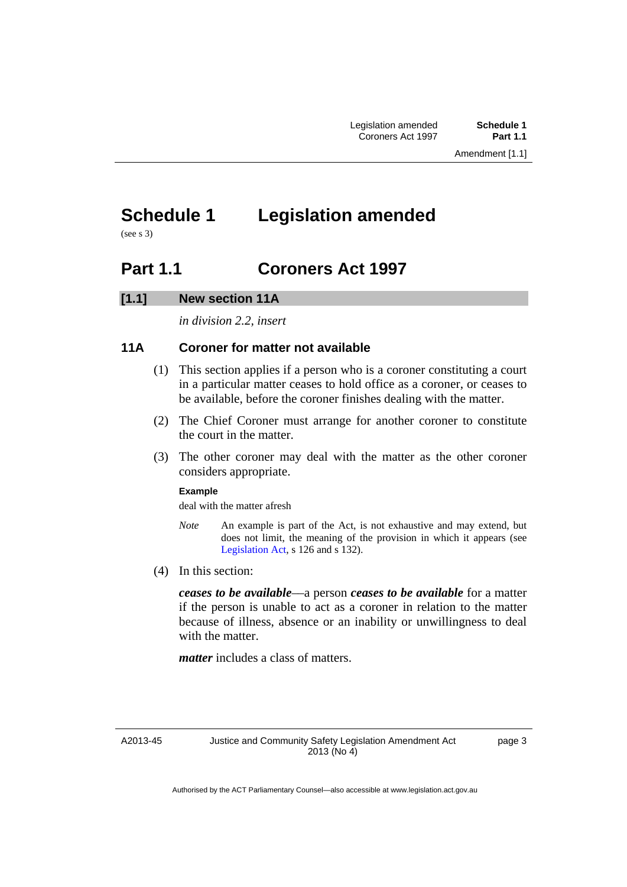# <span id="page-4-0"></span>**Schedule 1 Legislation amended**

(see s 3)

## <span id="page-4-1"></span>**Part 1.1 Coroners Act 1997**

### **[1.1] New section 11A**

*in division 2.2, insert* 

### **11A Coroner for matter not available**

- (1) This section applies if a person who is a coroner constituting a court in a particular matter ceases to hold office as a coroner, or ceases to be available, before the coroner finishes dealing with the matter.
- (2) The Chief Coroner must arrange for another coroner to constitute the court in the matter.
- (3) The other coroner may deal with the matter as the other coroner considers appropriate.

#### **Example**

deal with the matter afresh

- *Note* An example is part of the Act, is not exhaustive and may extend, but does not limit, the meaning of the provision in which it appears (see [Legislation Act,](http://www.legislation.act.gov.au/a/2001-14) s 126 and s 132).
- (4) In this section:

*ceases to be available*––a person *ceases to be available* for a matter if the person is unable to act as a coroner in relation to the matter because of illness, absence or an inability or unwillingness to deal with the matter.

*matter* includes a class of matters.

A2013-45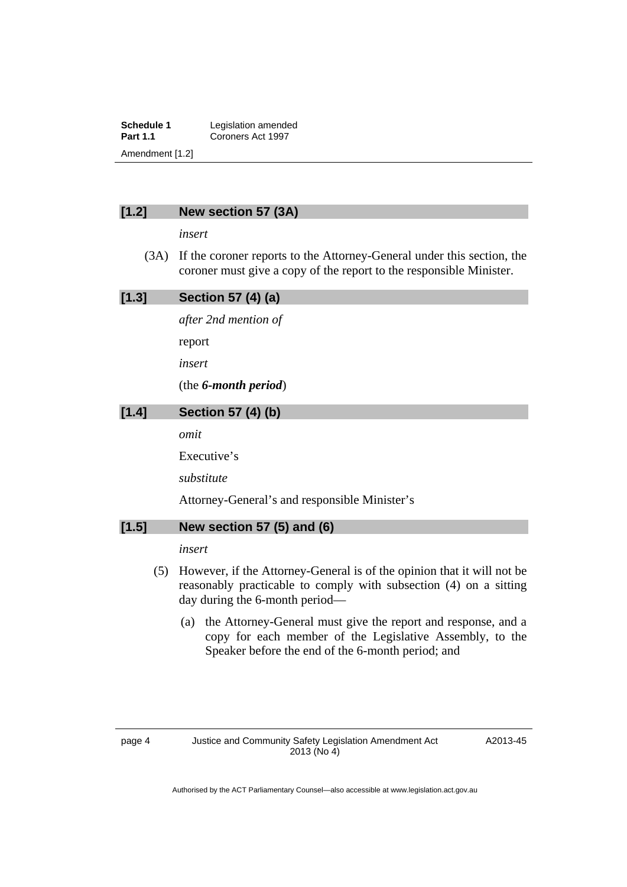**Schedule 1** Legislation amended<br> **Part 1.1** Coroners Act 1997 **Part 1.1** Coroners Act 1997 Amendment [1.2]

### **[1.2] New section 57 (3A)**

*insert* 

 (3A) If the coroner reports to the Attorney-General under this section, the coroner must give a copy of the report to the responsible Minister.

#### **[1.3] Section 57 (4) (a)**

*after 2nd mention of* 

report

*insert* 

(the *6-month period*)

### **[1.4] Section 57 (4) (b)**

*omit* 

Executive's

*substitute* 

Attorney-General's and responsible Minister's

### **[1.5] New section 57 (5) and (6)**

### *insert*

- (5) However, if the Attorney-General is of the opinion that it will not be reasonably practicable to comply with subsection (4) on a sitting day during the 6-month period—
	- (a) the Attorney-General must give the report and response, and a copy for each member of the Legislative Assembly, to the Speaker before the end of the 6-month period; and

A2013-45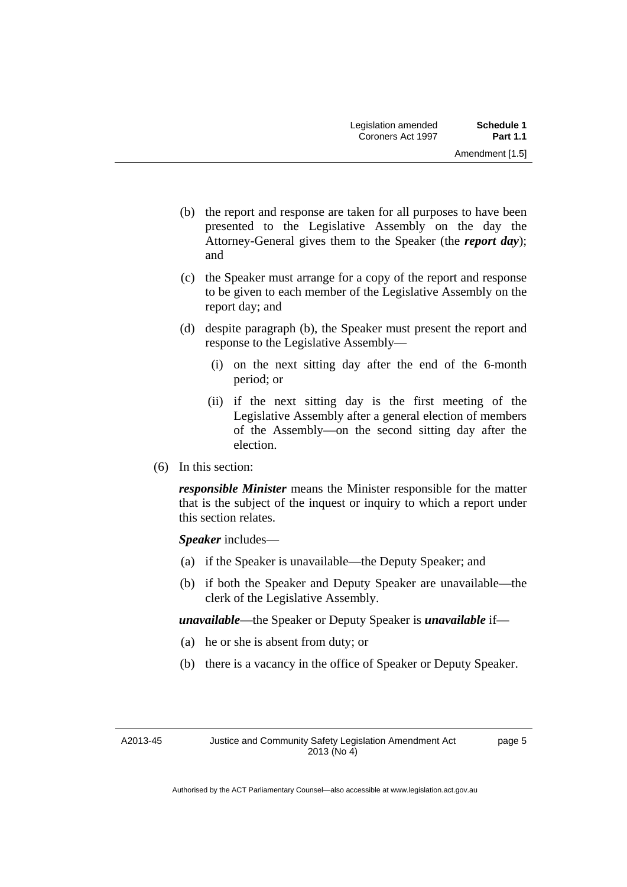- (b) the report and response are taken for all purposes to have been presented to the Legislative Assembly on the day the Attorney-General gives them to the Speaker (the *report day*); and
- (c) the Speaker must arrange for a copy of the report and response to be given to each member of the Legislative Assembly on the report day; and
- (d) despite paragraph (b), the Speaker must present the report and response to the Legislative Assembly––
	- (i) on the next sitting day after the end of the 6-month period; or
	- (ii) if the next sitting day is the first meeting of the Legislative Assembly after a general election of members of the Assembly—on the second sitting day after the election.
- (6) In this section:

*responsible Minister* means the Minister responsible for the matter that is the subject of the inquest or inquiry to which a report under this section relates.

*Speaker* includes—

- (a) if the Speaker is unavailable—the Deputy Speaker; and
- (b) if both the Speaker and Deputy Speaker are unavailable—the clerk of the Legislative Assembly.

*unavailable*—the Speaker or Deputy Speaker is *unavailable* if—

- (a) he or she is absent from duty; or
- (b) there is a vacancy in the office of Speaker or Deputy Speaker.

A2013-45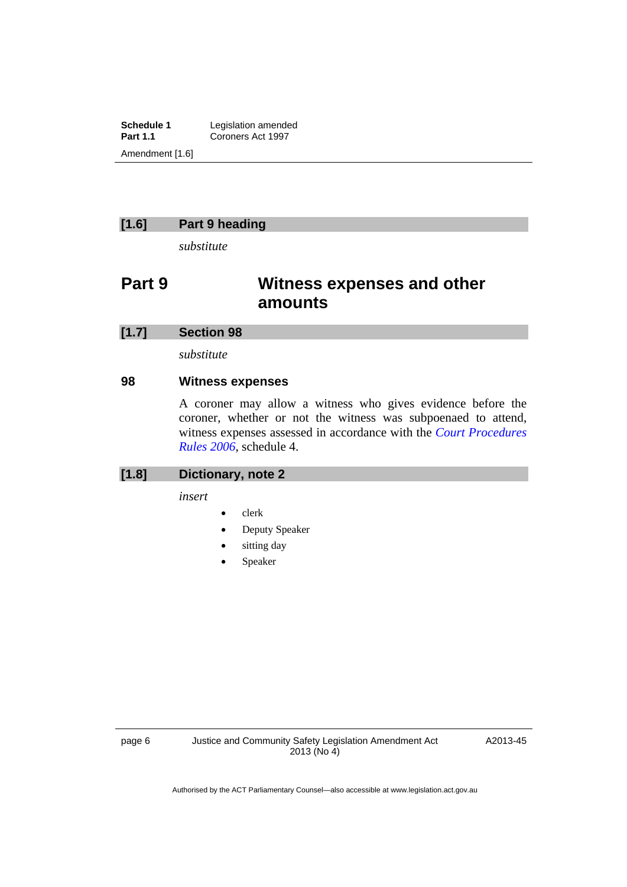**Schedule 1** Legislation amended<br> **Part 1.1** Coroners Act 1997 Coroners Act 1997 Amendment [1.6]

### **[1.6] Part 9 heading**

*substitute* 

# **Part 9 Witness expenses and other amounts**

#### **[1.7] Section 98**

*substitute* 

### **98 Witness expenses**

A coroner may allow a witness who gives evidence before the coroner, whether or not the witness was subpoenaed to attend, witness expenses assessed in accordance with the *[Court Procedures](http://www.legislation.act.gov.au/sl/2006-29)  [Rules 2006](http://www.legislation.act.gov.au/sl/2006-29)*, schedule 4.

### **[1.8] Dictionary, note 2**

*insert* 

- clerk
- Deputy Speaker
- sitting day
- Speaker

A2013-45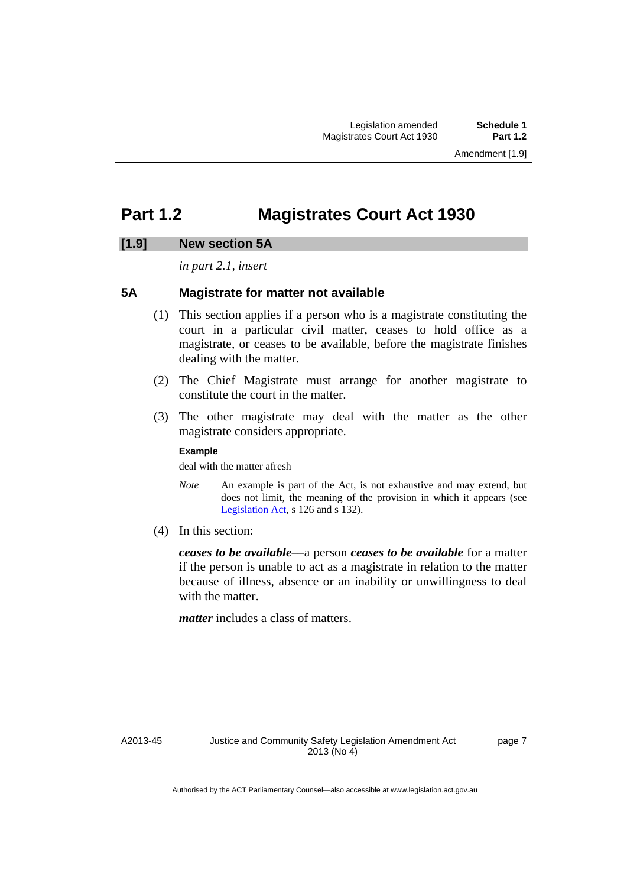# <span id="page-8-0"></span>**Part 1.2 Magistrates Court Act 1930**

### **[1.9] New section 5A**

*in part 2.1, insert* 

### **5A Magistrate for matter not available**

- (1) This section applies if a person who is a magistrate constituting the court in a particular civil matter, ceases to hold office as a magistrate, or ceases to be available, before the magistrate finishes dealing with the matter.
- (2) The Chief Magistrate must arrange for another magistrate to constitute the court in the matter.
- (3) The other magistrate may deal with the matter as the other magistrate considers appropriate.

#### **Example**

deal with the matter afresh

- *Note* An example is part of the Act, is not exhaustive and may extend, but does not limit, the meaning of the provision in which it appears (see [Legislation Act,](http://www.legislation.act.gov.au/a/2001-14) s 126 and s 132).
- (4) In this section:

*ceases to be available*––a person *ceases to be available* for a matter if the person is unable to act as a magistrate in relation to the matter because of illness, absence or an inability or unwillingness to deal with the matter.

*matter* includes a class of matters.

A2013-45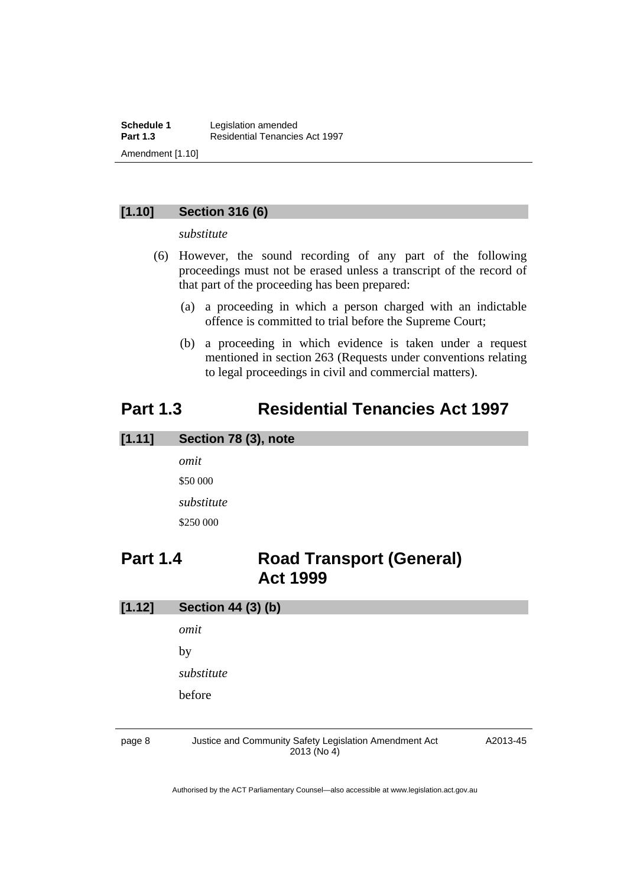### **[1.10] Section 316 (6)**

*substitute* 

- (6) However, the sound recording of any part of the following proceedings must not be erased unless a transcript of the record of that part of the proceeding has been prepared:
	- (a) a proceeding in which a person charged with an indictable offence is committed to trial before the Supreme Court;
	- (b) a proceeding in which evidence is taken under a request mentioned in section 263 (Requests under conventions relating to legal proceedings in civil and commercial matters).

### <span id="page-9-0"></span>**Part 1.3 Residential Tenancies Act 1997**

#### **[1.11] Section 78 (3), note**

*omit*  \$50 000 *substitute*  \$250 000

## <span id="page-9-1"></span>**Part 1.4 Road Transport (General) Act 1999**

| [1.12] | <b>Section 44 (3) (b)</b>                              |          |  |        |
|--------|--------------------------------------------------------|----------|--|--------|
|        | omit                                                   |          |  |        |
|        | by<br>substitute                                       |          |  |        |
|        |                                                        |          |  | before |
|        |                                                        |          |  |        |
| page 8 | Justice and Community Safety Legislation Amendment Act | A2013-45 |  |        |

2013 (No 4)

A2013-45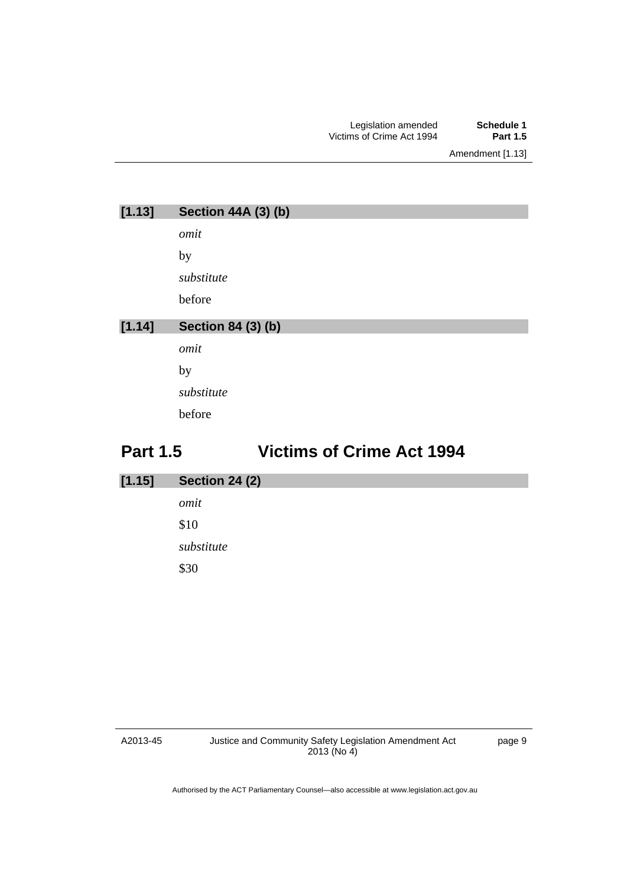Amendment [1.13]

| [1.13] | <b>Section 44A (3) (b)</b> |
|--------|----------------------------|
|        | omit                       |
|        | by                         |
|        | substitute                 |
|        | before                     |
|        |                            |
|        |                            |
| [1.14] | <b>Section 84 (3) (b)</b>  |
|        | omit                       |
|        | by                         |
|        | substitute                 |
|        | before                     |

# <span id="page-10-0"></span>**Part 1.5 Victims of Crime Act 1994**

| [1.15] | <b>Section 24 (2)</b> |
|--------|-----------------------|
|        | omit                  |
|        | \$10                  |
|        | substitute            |
|        | \$30                  |
|        |                       |

A2013-45